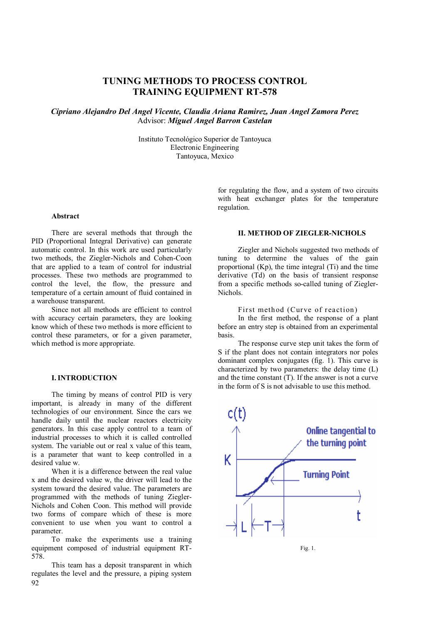# **TUNING METHODS TO PROCESS CONTROL TRAINING EQUIPMENT RT-578**

*Cipriano Alejandro Del Angel Vicente, Claudia Ariana Ramirez, Juan Angel Zamora Perez* Advisor: *Miguel Angel Barron Castelan*

> Instituto Tecnológico Superior de Tantoyuca Electronic Engineering Tantoyuca, Mexico

> > with heat exchanger plates for the temperature regulation.

for regulating the flow, and a system of two circuits

#### **Abstract**

There are several methods that through the PID (Proportional Integral Derivative) can generate automatic control. In this work are used particularly two methods, the Ziegler-Nichols and Cohen-Coon that are applied to a team of control for industrial processes. These two methods are programmed to control the level, the flow, the pressure and temperature of a certain amount of fluid contained in a warehouse transparent.

Since not all methods are efficient to control with accuracy certain parameters, they are looking know which of these two methods is more efficient to control these parameters, or for a given parameter, which method is more appropriate.

## **I.INTRODUCTION**

The timing by means of control PID is very important, is already in many of the different technologies of our environment. Since the cars we handle daily until the nuclear reactors electricity generators. In this case apply control to a team of industrial processes to which it is called controlled system. The variable out or real x value of this team, is a parameter that want to keep controlled in a desired value w.

When it is a difference between the real value x and the desired value w, the driver will lead to the system toward the desired value. The parameters are programmed with the methods of tuning Ziegler-Nichols and Cohen Coon. This method will provide two forms of compare which of these is more convenient to use when you want to control a parameter.

To make the experiments use a training equipment composed of industrial equipment RT-578.

92 This team has a deposit transparent in which regulates the level and the pressure, a piping system

## **II. METHOD OF ZIEGLER-NICHOLS**

Ziegler and Nichols suggested two methods of tuning to determine the values of the gain proportional (Kp), the time integral (Ti) and the time derivative (Td) on the basis of transient response from a specific methods so-called tuning of Ziegler-**Nichols**.

First method (Curve of reaction)

In the first method, the response of a plant before an entry step is obtained from an experimental basis.

The response curve step unit takes the form of S if the plant does not contain integrators nor poles dominant complex conjugates (fig. 1). This curve is characterized by two parameters: the delay time (L) and the time constant (T). If the answer is not a curve in the form of S is not advisable to use this method.



Fig. 1.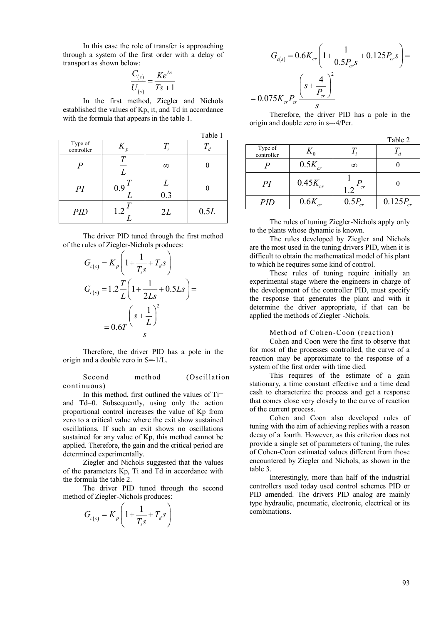In this case the role of transfer is approaching through a system of the first order with a delay of transport as shown below:

$$
\frac{C_{(s)}}{U_{(s)}} = \frac{Ke^{Ls}}{Ts+1}
$$

In the first method, Ziegler and Nichols established the values of Kp, it, and Td in accordance with the formula that appears in the table 1.

|                       |                               |                       | Table 1 |
|-----------------------|-------------------------------|-----------------------|---------|
| Type of<br>controller | $K_{\rm s}$<br>$\overline{p}$ |                       |         |
| $\boldsymbol{P}$      | L                             | $\infty$              |         |
| PI                    | $0.9 -$                       | L<br>$\overline{0.3}$ |         |
| <b>PID</b>            | $1.2 -$                       | 2L                    | 0.5L    |

The driver PID tuned through the first method of the rules of Ziegler-Nichols produces:

$$
G_{c(s)} = K_p \left( 1 + \frac{1}{T_i s} + T_d s \right)
$$
  
\n
$$
G_{c(s)} = 1.2 \frac{T}{L} \left( 1 + \frac{1}{2Ls} + 0.5Ls \right) =
$$
  
\n
$$
= 0.6T \frac{\left(s + \frac{1}{L}\right)^2}{s}
$$

Therefore, the driver PID has a pole in the origin and a double zero in S=-1/L.

Second method (Oscillation continuous)

In this method, first outlined the values of Ti= and Td=0. Subsequently, using only the action proportional control increases the value of Kp from zero to a critical value where the exit show sustained oscillations. If such an exit shows no oscillations sustained for any value of Kp, this method cannot be applied. Therefore, the gain and the critical period are determined experimentally.

Ziegler and Nichols suggested that the values of the parameters Kp, Ti and Td in accordance with the formula the table 2.

The driver PID tuned through the second method of Ziegler-Nichols produces:

$$
G_{c(s)} = K_p \left( 1 + \frac{1}{T_i s} + T_d s \right)
$$

$$
G_{c(s)} = 0.6K_{cr} \left(1 + \frac{1}{0.5P_{cr}s} + 0.125P_{cr}s\right) =
$$
  
0.075K\_{cr}P\_{cr} \frac{\left(s + \frac{4}{P\_{cr}}\right)^2}{s}

Therefore, the driver PID has a pole in the origin and double zero in s=-4/Pcr.

 $T<sub>11</sub>$ 

 $\equiv$ 

|                       |              |             | rabie 2       |
|-----------------------|--------------|-------------|---------------|
| Type of<br>controller |              |             |               |
|                       | $0.5K_{cr}$  | $\infty$    |               |
| PI                    | $0.45K_{cr}$ | $\tau$      |               |
| PID                   | $0.6K_{cr}$  | $0.5P_{cr}$ | $0.125P_{cr}$ |

The rules of tuning Ziegler-Nichols apply only to the plants whose dynamic is known.

The rules developed by Ziegler and Nichols are the most used in the tuning drivers PID, when it is difficult to obtain the mathematical model of his plant to which he requires some kind of control.

These rules of tuning require initially an experimental stage where the engineers in charge of the development of the controller PID, must specify the response that generates the plant and with it determine the driver appropriate, if that can be applied the methods of Ziegler -Nichols.

#### Method of Cohen-Coon (reaction)

Cohen and Coon were the first to observe that for most of the processes controlled, the curve of a reaction may be approximate to the response of a system of the first order with time died.

This requires of the estimate of a gain stationary, a time constant effective and a time dead cash to characterize the process and get a response that comes close very closely to the curve of reaction of the current process.

Cohen and Coon also developed rules of tuning with the aim of achieving replies with a reason decay of a fourth. However, as this criterion does not provide a single set of parameters of tuning, the rules of Cohen-Coon estimated values different from those encountered by Ziegler and Nichols, as shown in the table 3.

Interestingly, more than half of the industrial controllers used today used control schemes PID or PID amended. The drivers PID analog are mainly type hydraulic, pneumatic, electronic, electrical or its combinations.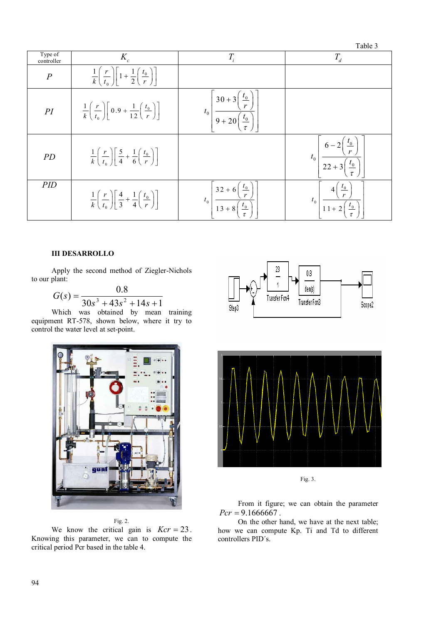|                       |                                                                                                                  |                                                                                 | $1$ uviv $\upsilon$                             |
|-----------------------|------------------------------------------------------------------------------------------------------------------|---------------------------------------------------------------------------------|-------------------------------------------------|
| Type of<br>controller | $K_c$                                                                                                            | $T_{i}$                                                                         | $T_{d}$                                         |
| $\boldsymbol{P}$      | $\frac{1}{k} \left( \frac{r}{t_0} \right) \left  1 + \frac{1}{2} \left( \frac{t_0}{r} \right) \right $           |                                                                                 |                                                 |
| PI                    | $\frac{1}{k} \left( \frac{r}{t_0} \right) \left[ 0.9 + \frac{1}{12} \left( \frac{t_0}{r} \right) \right]$        | $30 + 3$<br>$t_{0}$<br>$t_{0}$<br>$9 + 20$                                      |                                                 |
| PD                    | $\frac{1}{k} \left( \frac{r}{t_0} \right) \left[ \frac{5}{4} + \frac{1}{6} \left( \frac{t_0}{r} \right) \right]$ |                                                                                 | $\frac{r_0}{r}$<br>$6 - 2$<br>$t_0$<br>$22 + 3$ |
| PID                   | $\frac{1}{k} \left( \frac{r}{t_0} \right) \left[ \frac{4}{3} + \frac{1}{4} \left( \frac{t_0}{r} \right) \right]$ | $32 + 6$<br>$\frac{\iota_0}{\iota}$<br>$t_0$<br>$13 + 8$<br>$t_{\underline{0}}$ | $t_{0}$<br>$\frac{\iota_0}{\iota}$<br>$11 + 2$  |

#### **III DESARROLLO**

Apply the second method of Ziegler-Nichols to our plant:

$$
G(s) = \frac{0.8}{30s^3 + 43s^2 + 14s + 1}
$$

Which was obtained by mean training equipment RT-578, shown below, where it try to control the water level at set-point.



Fig. 2.

We know the critical gain is  $Kcr = 23$ . Knowing this parameter, we can to compute the critical period Pcr based in the table 4.





Fig. 3.

From it figure; we can obtain the parameter  $Pcr = 9.1666667$ .

On the other hand, we have at the next table; how we can compute Kp. Ti and Td to different controllers PID´s.